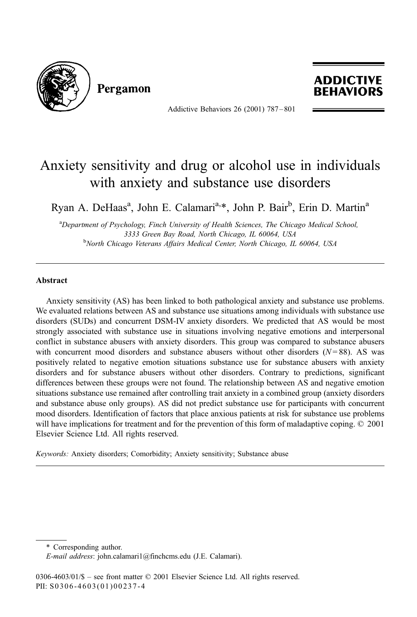

Pergamon



Addictive Behaviors 26 (2001) 787 – 801

## Anxiety sensitivity and drug or alcohol use in individuals with anxiety and substance use disorders

Ryan A. DeHaas<sup>a</sup>, John E. Calamari<sup>a,\*</sup>, John P. Bair<sup>b</sup>, Erin D. Martin<sup>a</sup>

<sup>a</sup>Department of Psychology, Finch University of Health Sciences, The Chicago Medical School, 3333 Green Bay Road, North Chicago, IL 60064, USA <sup>b</sup> <sup>b</sup>North Chicago Veterans Affairs Medical Center, North Chicago, IL 60064, USA

## Abstract

Anxiety sensitivity (AS) has been linked to both pathological anxiety and substance use problems. We evaluated relations between AS and substance use situations among individuals with substance use disorders (SUDs) and concurrent DSM-IV anxiety disorders. We predicted that AS would be most strongly associated with substance use in situations involving negative emotions and interpersonal conflict in substance abusers with anxiety disorders. This group was compared to substance abusers with concurrent mood disorders and substance abusers without other disorders  $(N=88)$ . AS was positively related to negative emotion situations substance use for substance abusers with anxiety disorders and for substance abusers without other disorders. Contrary to predictions, significant differences between these groups were not found. The relationship between AS and negative emotion situations substance use remained after controlling trait anxiety in a combined group (anxiety disorders and substance abuse only groups). AS did not predict substance use for participants with concurrent mood disorders. Identification of factors that place anxious patients at risk for substance use problems will have implications for treatment and for the prevention of this form of maladaptive coping. © 2001 Elsevier Science Ltd. All rights reserved.

Keywords: Anxiety disorders; Comorbidity; Anxiety sensitivity; Substance abuse

<sup>\*</sup> Corresponding author.

E-mail address: john.calamari1@finchcms.edu (J.E. Calamari).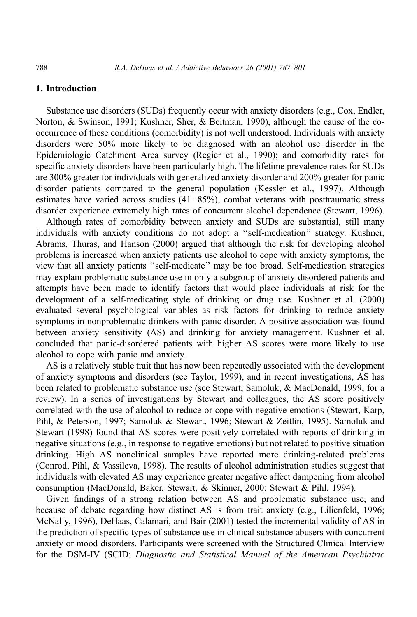## 1. Introduction

Substance use disorders (SUDs) frequently occur with anxiety disorders (e.g., Cox, Endler, Norton, & Swinson, 1991; Kushner, Sher, & Beitman, 1990), although the cause of the cooccurrence of these conditions (comorbidity) is not well understood. Individuals with anxiety disorders were 50% more likely to be diagnosed with an alcohol use disorder in the Epidemiologic Catchment Area survey (Regier et al., 1990); and comorbidity rates for specific anxiety disorders have been particularly high. The lifetime prevalence rates for SUDs are 300% greater for individuals with generalized anxiety disorder and 200% greater for panic disorder patients compared to the general population (Kessler et al., 1997). Although estimates have varied across studies  $(41-85%)$ , combat veterans with posttraumatic stress disorder experience extremely high rates of concurrent alcohol dependence (Stewart, 1996).

Although rates of comorbidity between anxiety and SUDs are substantial, still many individuals with anxiety conditions do not adopt a ''self-medication'' strategy. Kushner, Abrams, Thuras, and Hanson (2000) argued that although the risk for developing alcohol problems is increased when anxiety patients use alcohol to cope with anxiety symptoms, the view that all anxiety patients ''self-medicate'' may be too broad. Self-medication strategies may explain problematic substance use in only a subgroup of anxiety-disordered patients and attempts have been made to identify factors that would place individuals at risk for the development of a self-medicating style of drinking or drug use. Kushner et al. (2000) evaluated several psychological variables as risk factors for drinking to reduce anxiety symptoms in nonproblematic drinkers with panic disorder. A positive association was found between anxiety sensitivity (AS) and drinking for anxiety management. Kushner et al. concluded that panic-disordered patients with higher AS scores were more likely to use alcohol to cope with panic and anxiety.

AS is a relatively stable trait that has now been repeatedly associated with the development of anxiety symptoms and disorders (see Taylor, 1999), and in recent investigations, AS has been related to problematic substance use (see Stewart, Samoluk, & MacDonald, 1999, for a review). In a series of investigations by Stewart and colleagues, the AS score positively correlated with the use of alcohol to reduce or cope with negative emotions (Stewart, Karp, Pihl, & Peterson, 1997; Samoluk & Stewart, 1996; Stewart & Zeitlin, 1995). Samoluk and Stewart (1998) found that AS scores were positively correlated with reports of drinking in negative situations (e.g., in response to negative emotions) but not related to positive situation drinking. High AS nonclinical samples have reported more drinking-related problems (Conrod, Pihl, & Vassileva, 1998). The results of alcohol administration studies suggest that individuals with elevated AS may experience greater negative affect dampening from alcohol consumption (MacDonald, Baker, Stewart, & Skinner, 2000; Stewart & Pihl, 1994).

Given findings of a strong relation between AS and problematic substance use, and because of debate regarding how distinct AS is from trait anxiety (e.g., Lilienfeld, 1996; McNally, 1996), DeHaas, Calamari, and Bair (2001) tested the incremental validity of AS in the prediction of specific types of substance use in clinical substance abusers with concurrent anxiety or mood disorders. Participants were screened with the Structured Clinical Interview for the DSM-IV (SCID; Diagnostic and Statistical Manual of the American Psychiatric